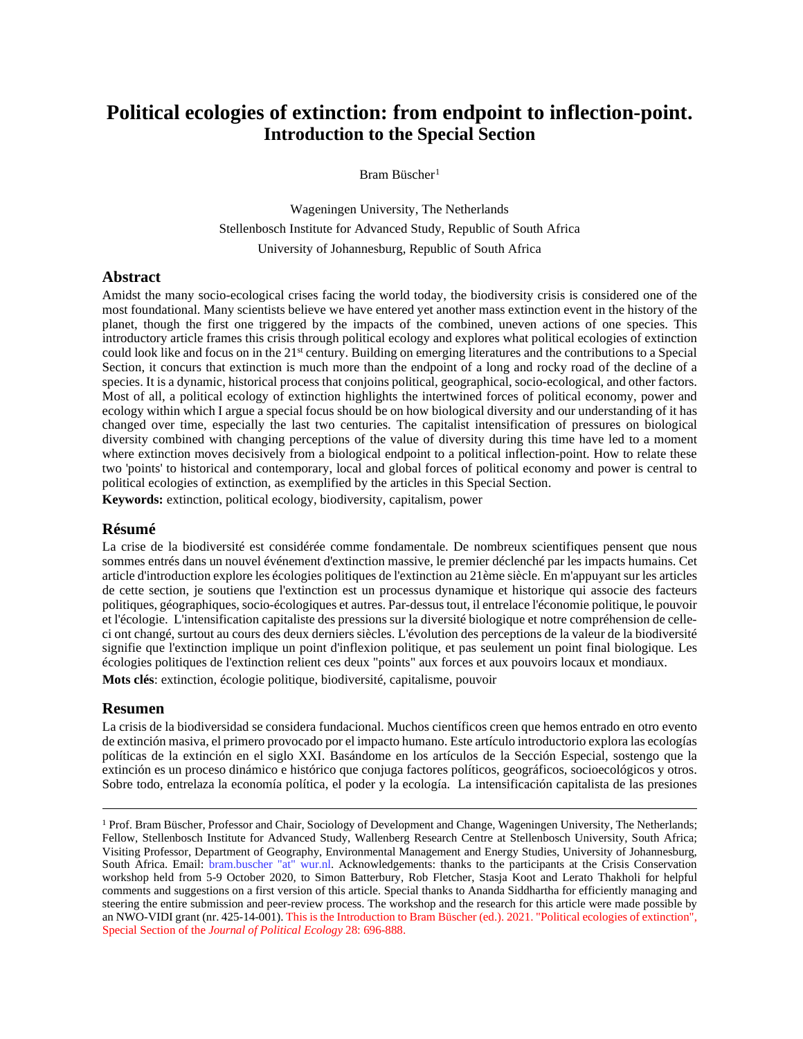# **Political ecologies of extinction: from endpoint to inflection-point. Introduction to the Special Section**

Bram Büscher<sup>[1](#page-0-0)</sup>

Wageningen University, The Netherlands Stellenbosch Institute for Advanced Study, Republic of South Africa University of Johannesburg, Republic of South Africa

#### **Abstract**

Amidst the many socio-ecological crises facing the world today, the biodiversity crisis is considered one of the most foundational. Many scientists believe we have entered yet another mass extinction event in the history of the planet, though the first one triggered by the impacts of the combined, uneven actions of one species. This introductory article frames this crisis through political ecology and explores what political ecologies of extinction could look like and focus on in the 21st century. Building on emerging literatures and the contributions to a Special Section, it concurs that extinction is much more than the endpoint of a long and rocky road of the decline of a species. It is a dynamic, historical process that conjoins political, geographical, socio-ecological, and other factors. Most of all, a political ecology of extinction highlights the intertwined forces of political economy, power and ecology within which I argue a special focus should be on how biological diversity and our understanding of it has changed over time, especially the last two centuries. The capitalist intensification of pressures on biological diversity combined with changing perceptions of the value of diversity during this time have led to a moment where extinction moves decisively from a biological endpoint to a political inflection-point. How to relate these two 'points' to historical and contemporary, local and global forces of political economy and power is central to political ecologies of extinction, as exemplified by the articles in this Special Section.

**Keywords:** extinction, political ecology, biodiversity, capitalism, power

#### **Résumé**

La crise de la biodiversité est considérée comme fondamentale. De nombreux scientifiques pensent que nous sommes entrés dans un nouvel événement d'extinction massive, le premier déclenché par les impacts humains. Cet article d'introduction explore les écologies politiques de l'extinction au 21ème siècle. En m'appuyant sur les articles de cette section, je soutiens que l'extinction est un processus dynamique et historique qui associe des facteurs politiques, géographiques, socio-écologiques et autres. Par-dessus tout, il entrelace l'économie politique, le pouvoir et l'écologie. L'intensification capitaliste des pressions sur la diversité biologique et notre compréhension de celleci ont changé, surtout au cours des deux derniers siècles. L'évolution des perceptions de la valeur de la biodiversité signifie que l'extinction implique un point d'inflexion politique, et pas seulement un point final biologique. Les écologies politiques de l'extinction relient ces deux "points" aux forces et aux pouvoirs locaux et mondiaux. **Mots clés**: extinction, écologie politique, biodiversité, capitalisme, pouvoir

#### **Resumen**

La crisis de la biodiversidad se considera fundacional. Muchos científicos creen que hemos entrado en otro evento de extinción masiva, el primero provocado por el impacto humano. Este artículo introductorio explora las ecologías políticas de la extinción en el siglo XXI. Basándome en los artículos de la Sección Especial, sostengo que la extinción es un proceso dinámico e histórico que conjuga factores políticos, geográficos, socioecológicos y otros. Sobre todo, entrelaza la economía política, el poder y la ecología. La intensificación capitalista de las presiones

<span id="page-0-0"></span><sup>&</sup>lt;sup>1</sup> Prof. Bram Büscher, Professor and Chair, Sociology of Development and Change, Wageningen University, The Netherlands; Fellow, Stellenbosch Institute for Advanced Study, Wallenberg Research Centre at Stellenbosch University, South Africa; Visiting Professor, Department of Geography, Environmental Management and Energy Studies, University of Johannesburg, South Africa. Email: bram.buscher "at" wur.nl. Acknowledgements: thanks to the participants at the Crisis Conservation workshop held from 5-9 October 2020, to Simon Batterbury, Rob Fletcher, Stasja Koot and Lerato Thakholi for helpful comments and suggestions on a first version of this article. Special thanks to Ananda Siddhartha for efficiently managing and steering the entire submission and peer-review process. The workshop and the research for this article were made possible by an NWO-VIDI grant (nr. 425-14-001). This is the Introduction to Bram Büscher (ed.). 2021. "Political ecologies of extinction", Special Section of the *Journal of Political Ecology* 28: 696-888.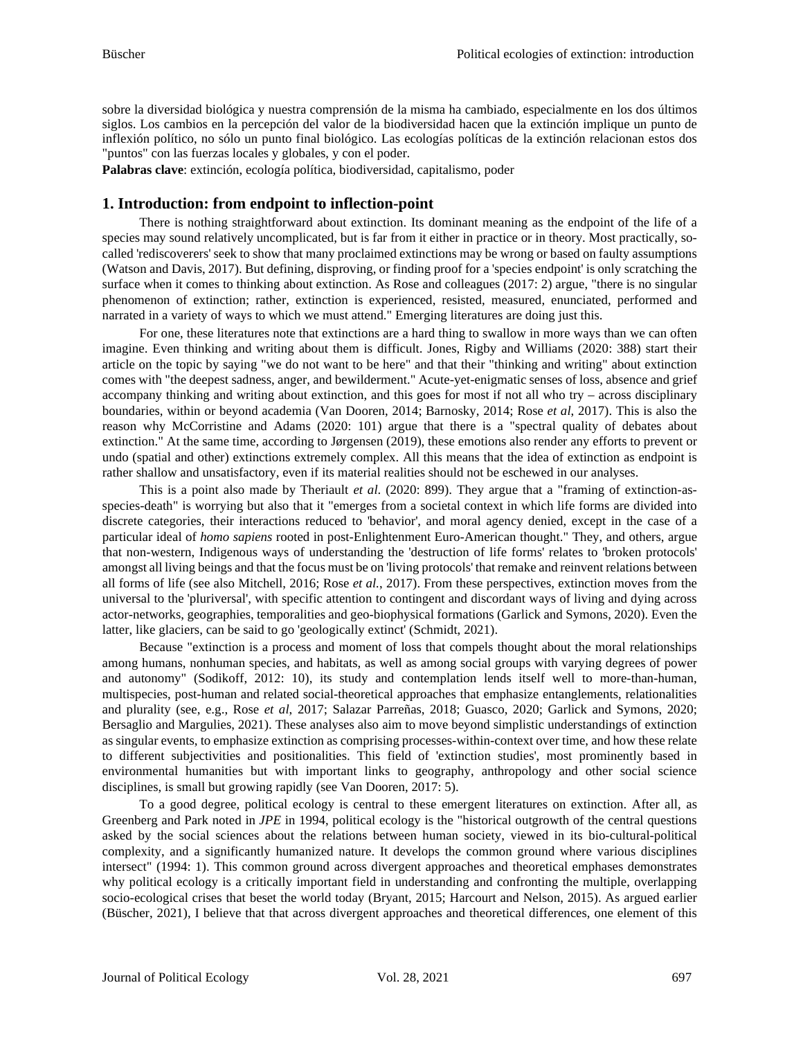sobre la diversidad biológica y nuestra comprensión de la misma ha cambiado, especialmente en los dos últimos siglos. Los cambios en la percepción del valor de la biodiversidad hacen que la extinción implique un punto de inflexión político, no sólo un punto final biológico. Las ecologías políticas de la extinción relacionan estos dos "puntos" con las fuerzas locales y globales, y con el poder.

**Palabras clave**: extinción, ecología política, biodiversidad, capitalismo, poder

### **1. Introduction: from endpoint to inflection-point**

There is nothing straightforward about extinction. Its dominant meaning as the endpoint of the life of a species may sound relatively uncomplicated, but is far from it either in practice or in theory. Most practically, socalled 'rediscoverers' seek to show that many proclaimed extinctions may be wrong or based on faulty assumptions (Watson and Davis, 2017). But defining, disproving, or finding proof for a 'species endpoint' is only scratching the surface when it comes to thinking about extinction. As Rose and colleagues (2017: 2) argue, "there is no singular phenomenon of extinction; rather, extinction is experienced, resisted, measured, enunciated, performed and narrated in a variety of ways to which we must attend." Emerging literatures are doing just this.

For one, these literatures note that extinctions are a hard thing to swallow in more ways than we can often imagine. Even thinking and writing about them is difficult. Jones, Rigby and Williams (2020: 388) start their article on the topic by saying "we do not want to be here" and that their "thinking and writing" about extinction comes with "the deepest sadness, anger, and bewilderment." Acute-yet-enigmatic senses of loss, absence and grief accompany thinking and writing about extinction, and this goes for most if not all who try – across disciplinary boundaries, within or beyond academia (Van Dooren, 2014; Barnosky, 2014; Rose *et al*, 2017). This is also the reason why McCorristine and Adams (2020: 101) argue that there is a "spectral quality of debates about extinction." At the same time, according to Jørgensen (2019), these emotions also render any efforts to prevent or undo (spatial and other) extinctions extremely complex. All this means that the idea of extinction as endpoint is rather shallow and unsatisfactory, even if its material realities should not be eschewed in our analyses.

This is a point also made by Theriault *et al*. (2020: 899). They argue that a "framing of extinction-asspecies-death" is worrying but also that it "emerges from a societal context in which life forms are divided into discrete categories, their interactions reduced to 'behavior', and moral agency denied, except in the case of a particular ideal of *homo sapiens* rooted in post-Enlightenment Euro-American thought." They, and others, argue that non-western, Indigenous ways of understanding the 'destruction of life forms' relates to 'broken protocols' amongst all living beings and that the focus must be on 'living protocols' that remake and reinvent relations between all forms of life (see also Mitchell, 2016; Rose *et al.*, 2017). From these perspectives, extinction moves from the universal to the 'pluriversal', with specific attention to contingent and discordant ways of living and dying across actor-networks, geographies, temporalities and geo-biophysical formations (Garlick and Symons, 2020). Even the latter, like glaciers, can be said to go 'geologically extinct' (Schmidt, 2021).

Because "extinction is a process and moment of loss that compels thought about the moral relationships among humans, nonhuman species, and habitats, as well as among social groups with varying degrees of power and autonomy" (Sodikoff, 2012: 10), its study and contemplation lends itself well to more-than-human, multispecies, post-human and related social-theoretical approaches that emphasize entanglements, relationalities and plurality (see, e.g., Rose *et al*, 2017; Salazar Parreñas, 2018; Guasco, 2020; Garlick and Symons, 2020; Bersaglio and Margulies, 2021). These analyses also aim to move beyond simplistic understandings of extinction as singular events, to emphasize extinction as comprising processes-within-context over time, and how these relate to different subjectivities and positionalities. This field of 'extinction studies', most prominently based in environmental humanities but with important links to geography, anthropology and other social science disciplines, is small but growing rapidly (see Van Dooren, 2017: 5).

To a good degree, political ecology is central to these emergent literatures on extinction. After all, as Greenberg and Park noted in *JPE* in 1994, political ecology is the "historical outgrowth of the central questions asked by the social sciences about the relations between human society, viewed in its bio-cultural-political complexity, and a significantly humanized nature. It develops the common ground where various disciplines intersect" (1994: 1). This common ground across divergent approaches and theoretical emphases demonstrates why political ecology is a critically important field in understanding and confronting the multiple, overlapping socio-ecological crises that beset the world today (Bryant, 2015; Harcourt and Nelson, 2015). As argued earlier (Büscher, 2021), I believe that that across divergent approaches and theoretical differences, one element of this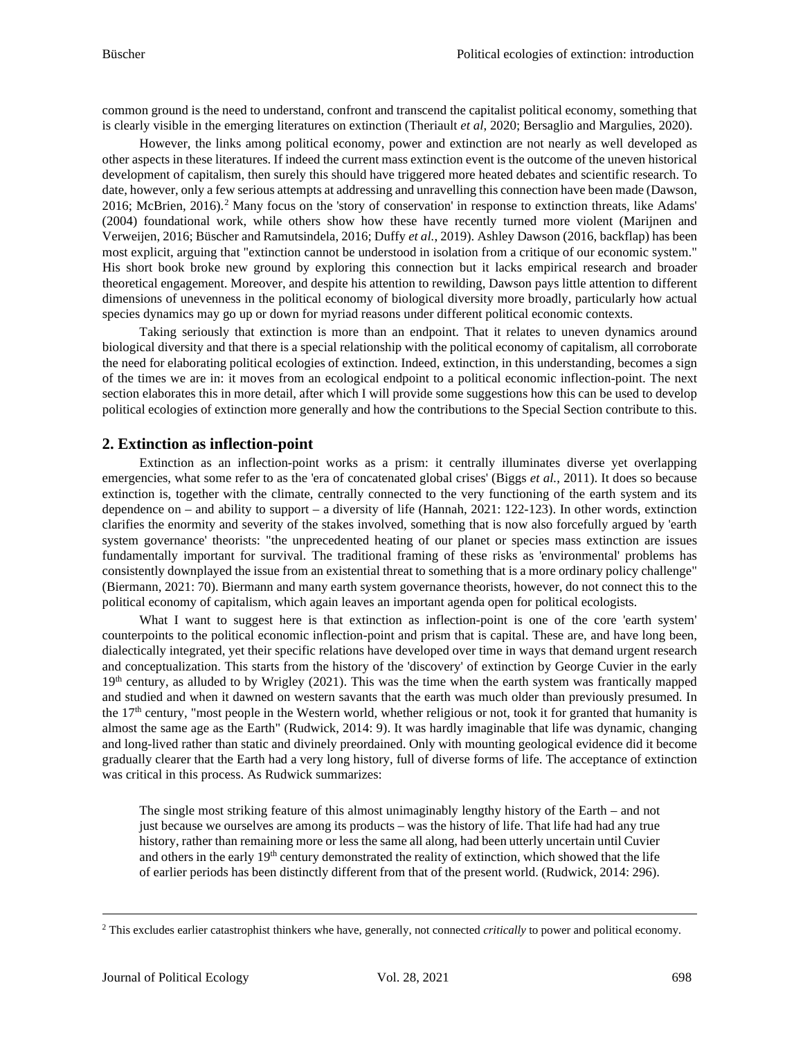common ground is the need to understand, confront and transcend the capitalist political economy, something that is clearly visible in the emerging literatures on extinction (Theriault *et al*, 2020; Bersaglio and Margulies, 2020).

However, the links among political economy, power and extinction are not nearly as well developed as other aspects in these literatures. If indeed the current mass extinction event is the outcome of the uneven historical development of capitalism, then surely this should have triggered more heated debates and scientific research. To date, however, only a few serious attempts at addressing and unravelling this connection have been made (Dawson, [2](#page-2-0)016; McBrien, 2016).<sup>2</sup> Many focus on the 'story of conservation' in response to extinction threats, like Adams' (2004) foundational work, while others show how these have recently turned more violent (Marijnen and Verweijen, 2016; Büscher and Ramutsindela, 2016; Duffy *et al.*, 2019). Ashley Dawson (2016, backflap) has been most explicit, arguing that "extinction cannot be understood in isolation from a critique of our economic system." His short book broke new ground by exploring this connection but it lacks empirical research and broader theoretical engagement. Moreover, and despite his attention to rewilding, Dawson pays little attention to different dimensions of unevenness in the political economy of biological diversity more broadly, particularly how actual species dynamics may go up or down for myriad reasons under different political economic contexts.

Taking seriously that extinction is more than an endpoint. That it relates to uneven dynamics around biological diversity and that there is a special relationship with the political economy of capitalism, all corroborate the need for elaborating political ecologies of extinction. Indeed, extinction, in this understanding, becomes a sign of the times we are in: it moves from an ecological endpoint to a political economic inflection-point. The next section elaborates this in more detail, after which I will provide some suggestions how this can be used to develop political ecologies of extinction more generally and how the contributions to the Special Section contribute to this.

# **2. Extinction as inflection-point**

Extinction as an inflection-point works as a prism: it centrally illuminates diverse yet overlapping emergencies, what some refer to as the 'era of concatenated global crises' (Biggs *et al.*, 2011). It does so because extinction is, together with the climate, centrally connected to the very functioning of the earth system and its dependence on – and ability to support – a diversity of life (Hannah, 2021: 122-123). In other words, extinction clarifies the enormity and severity of the stakes involved, something that is now also forcefully argued by 'earth system governance' theorists: "the unprecedented heating of our planet or species mass extinction are issues fundamentally important for survival. The traditional framing of these risks as 'environmental' problems has consistently downplayed the issue from an existential threat to something that is a more ordinary policy challenge" (Biermann, 2021: 70). Biermann and many earth system governance theorists, however, do not connect this to the political economy of capitalism, which again leaves an important agenda open for political ecologists.

What I want to suggest here is that extinction as inflection-point is one of the core 'earth system' counterpoints to the political economic inflection-point and prism that is capital. These are, and have long been, dialectically integrated, yet their specific relations have developed over time in ways that demand urgent research and conceptualization. This starts from the history of the 'discovery' of extinction by George Cuvier in the early  $19<sup>th</sup>$  century, as alluded to by Wrigley (2021). This was the time when the earth system was frantically mapped and studied and when it dawned on western savants that the earth was much older than previously presumed. In the  $17<sup>th</sup>$  century, "most people in the Western world, whether religious or not, took it for granted that humanity is almost the same age as the Earth" (Rudwick, 2014: 9). It was hardly imaginable that life was dynamic, changing and long-lived rather than static and divinely preordained. Only with mounting geological evidence did it become gradually clearer that the Earth had a very long history, full of diverse forms of life. The acceptance of extinction was critical in this process. As Rudwick summarizes:

The single most striking feature of this almost unimaginably lengthy history of the Earth – and not just because we ourselves are among its products – was the history of life. That life had had any true history, rather than remaining more or less the same all along, had been utterly uncertain until Cuvier and others in the early  $19<sup>th</sup>$  century demonstrated the reality of extinction, which showed that the life of earlier periods has been distinctly different from that of the present world. (Rudwick, 2014: 296).

<span id="page-2-0"></span><sup>2</sup> This excludes earlier catastrophist thinkers whe have, generally, not connected *critically* to power and political economy.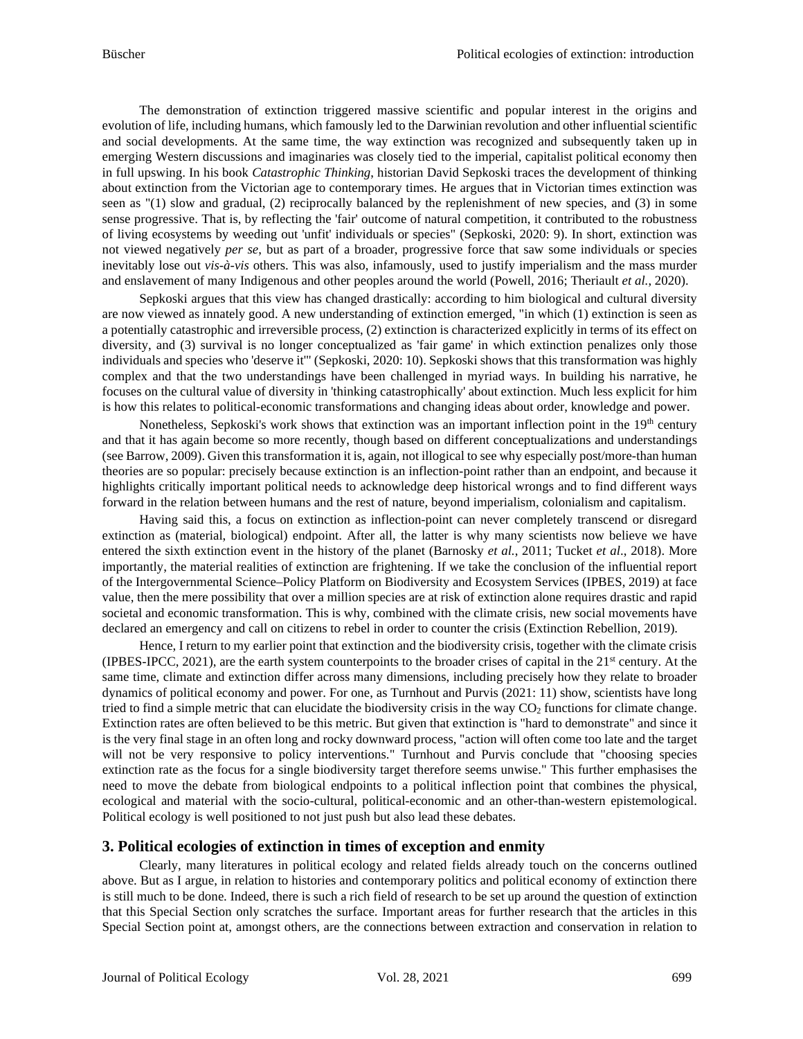The demonstration of extinction triggered massive scientific and popular interest in the origins and evolution of life, including humans, which famously led to the Darwinian revolution and other influential scientific and social developments. At the same time, the way extinction was recognized and subsequently taken up in emerging Western discussions and imaginaries was closely tied to the imperial, capitalist political economy then in full upswing. In his book *Catastrophic Thinking*, historian David Sepkoski traces the development of thinking about extinction from the Victorian age to contemporary times. He argues that in Victorian times extinction was seen as "(1) slow and gradual, (2) reciprocally balanced by the replenishment of new species, and (3) in some sense progressive. That is, by reflecting the 'fair' outcome of natural competition, it contributed to the robustness of living ecosystems by weeding out 'unfit' individuals or species" (Sepkoski, 2020: 9). In short, extinction was not viewed negatively *per se*, but as part of a broader, progressive force that saw some individuals or species inevitably lose out *vis-à-vis* others. This was also, infamously, used to justify imperialism and the mass murder and enslavement of many Indigenous and other peoples around the world (Powell, 2016; Theriault *et al.*, 2020).

Sepkoski argues that this view has changed drastically: according to him biological and cultural diversity are now viewed as innately good. A new understanding of extinction emerged, "in which (1) extinction is seen as a potentially catastrophic and irreversible process, (2) extinction is characterized explicitly in terms of its effect on diversity, and (3) survival is no longer conceptualized as 'fair game' in which extinction penalizes only those individuals and species who 'deserve it'" (Sepkoski, 2020: 10). Sepkoski shows that this transformation was highly complex and that the two understandings have been challenged in myriad ways. In building his narrative, he focuses on the cultural value of diversity in 'thinking catastrophically' about extinction. Much less explicit for him is how this relates to political-economic transformations and changing ideas about order, knowledge and power.

Nonetheless, Sepkoski's work shows that extinction was an important inflection point in the 19th century and that it has again become so more recently, though based on different conceptualizations and understandings (see Barrow, 2009). Given this transformation it is, again, not illogical to see why especially post/more-than human theories are so popular: precisely because extinction is an inflection-point rather than an endpoint, and because it highlights critically important political needs to acknowledge deep historical wrongs and to find different ways forward in the relation between humans and the rest of nature, beyond imperialism, colonialism and capitalism.

Having said this, a focus on extinction as inflection-point can never completely transcend or disregard extinction as (material, biological) endpoint. After all, the latter is why many scientists now believe we have entered the sixth extinction event in the history of the planet (Barnosky *et al.*, 2011; Tucket *et al*., 2018). More importantly, the material realities of extinction are frightening. If we take the conclusion of the influential report of the Intergovernmental Science–Policy Platform on Biodiversity and Ecosystem Services (IPBES, 2019) at face value, then the mere possibility that over a million species are at risk of extinction alone requires drastic and rapid societal and economic transformation. This is why, combined with the climate crisis, new social movements have declared an emergency and call on citizens to rebel in order to counter the crisis (Extinction Rebellion, 2019).

Hence, I return to my earlier point that extinction and the biodiversity crisis, together with the climate crisis (IPBES-IPCC, 2021), are the earth system counterpoints to the broader crises of capital in the  $21<sup>st</sup>$  century. At the same time, climate and extinction differ across many dimensions, including precisely how they relate to broader dynamics of political economy and power. For one, as Turnhout and Purvis (2021: 11) show, scientists have long tried to find a simple metric that can elucidate the biodiversity crisis in the way  $CO<sub>2</sub>$  functions for climate change. Extinction rates are often believed to be this metric. But given that extinction is "hard to demonstrate" and since it is the very final stage in an often long and rocky downward process, "action will often come too late and the target will not be very responsive to policy interventions." Turnhout and Purvis conclude that "choosing species extinction rate as the focus for a single biodiversity target therefore seems unwise." This further emphasises the need to move the debate from biological endpoints to a political inflection point that combines the physical, ecological and material with the socio-cultural, political-economic and an other-than-western epistemological. Political ecology is well positioned to not just push but also lead these debates.

### **3. Political ecologies of extinction in times of exception and enmity**

Clearly, many literatures in political ecology and related fields already touch on the concerns outlined above. But as I argue, in relation to histories and contemporary politics and political economy of extinction there is still much to be done. Indeed, there is such a rich field of research to be set up around the question of extinction that this Special Section only scratches the surface. Important areas for further research that the articles in this Special Section point at, amongst others, are the connections between extraction and conservation in relation to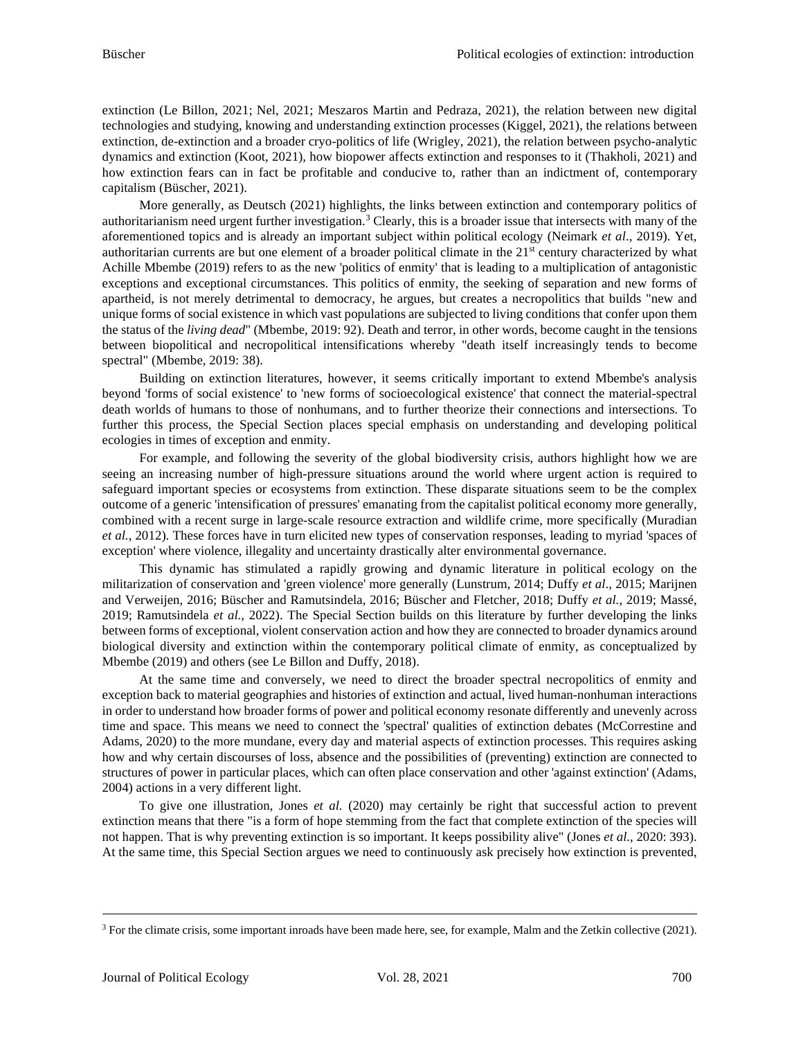extinction (Le Billon, 2021; Nel, 2021; Meszaros Martin and Pedraza, 2021), the relation between new digital technologies and studying, knowing and understanding extinction processes (Kiggel, 2021), the relations between extinction, de-extinction and a broader cryo-politics of life (Wrigley, 2021), the relation between psycho-analytic dynamics and extinction (Koot, 2021), how biopower affects extinction and responses to it (Thakholi, 2021) and how extinction fears can in fact be profitable and conducive to, rather than an indictment of, contemporary capitalism (Büscher, 2021).

More generally, as Deutsch (2021) highlights, the links between extinction and contemporary politics of authoritarianism need urgent further investigation.<sup>[3](#page-4-0)</sup> Clearly, this is a broader issue that intersects with many of the aforementioned topics and is already an important subject within political ecology (Neimark *et al*., 2019). Yet, authoritarian currents are but one element of a broader political climate in the 21<sup>st</sup> century characterized by what Achille Mbembe (2019) refers to as the new 'politics of enmity' that is leading to a multiplication of antagonistic exceptions and exceptional circumstances. This politics of enmity, the seeking of separation and new forms of apartheid, is not merely detrimental to democracy, he argues, but creates a necropolitics that builds "new and unique forms of social existence in which vast populations are subjected to living conditions that confer upon them the status of the *living dead*" (Mbembe, 2019: 92). Death and terror, in other words, become caught in the tensions between biopolitical and necropolitical intensifications whereby "death itself increasingly tends to become spectral" (Mbembe, 2019: 38).

Building on extinction literatures, however, it seems critically important to extend Mbembe's analysis beyond 'forms of social existence' to 'new forms of socioecological existence' that connect the material-spectral death worlds of humans to those of nonhumans, and to further theorize their connections and intersections. To further this process, the Special Section places special emphasis on understanding and developing political ecologies in times of exception and enmity.

For example, and following the severity of the global biodiversity crisis, authors highlight how we are seeing an increasing number of high-pressure situations around the world where urgent action is required to safeguard important species or ecosystems from extinction. These disparate situations seem to be the complex outcome of a generic 'intensification of pressures' emanating from the capitalist political economy more generally, combined with a recent surge in large-scale resource extraction and wildlife crime, more specifically (Muradian *et al.*, 2012). These forces have in turn elicited new types of conservation responses, leading to myriad 'spaces of exception' where violence, illegality and uncertainty drastically alter environmental governance.

This dynamic has stimulated a rapidly growing and dynamic literature in political ecology on the militarization of conservation and 'green violence' more generally (Lunstrum, 2014; Duffy *et al*., 2015; Marijnen and Verweijen, 2016; Büscher and Ramutsindela, 2016; Büscher and Fletcher, 2018; Duffy *et al.*, 2019; Massé, 2019; Ramutsindela *et al.*, 2022). The Special Section builds on this literature by further developing the links between forms of exceptional, violent conservation action and how they are connected to broader dynamics around biological diversity and extinction within the contemporary political climate of enmity, as conceptualized by Mbembe (2019) and others (see Le Billon and Duffy, 2018).

At the same time and conversely, we need to direct the broader spectral necropolitics of enmity and exception back to material geographies and histories of extinction and actual, lived human-nonhuman interactions in order to understand how broader forms of power and political economy resonate differently and unevenly across time and space. This means we need to connect the 'spectral' qualities of extinction debates (McCorrestine and Adams, 2020) to the more mundane, every day and material aspects of extinction processes. This requires asking how and why certain discourses of loss, absence and the possibilities of (preventing) extinction are connected to structures of power in particular places, which can often place conservation and other 'against extinction' (Adams, 2004) actions in a very different light.

To give one illustration, Jones *et al.* (2020) may certainly be right that successful action to prevent extinction means that there "is a form of hope stemming from the fact that complete extinction of the species will not happen. That is why preventing extinction is so important. It keeps possibility alive" (Jones *et al.*, 2020: 393). At the same time, this Special Section argues we need to continuously ask precisely how extinction is prevented,

<span id="page-4-0"></span><sup>&</sup>lt;sup>3</sup> For the climate crisis, some important inroads have been made here, see, for example, Malm and the Zetkin collective (2021).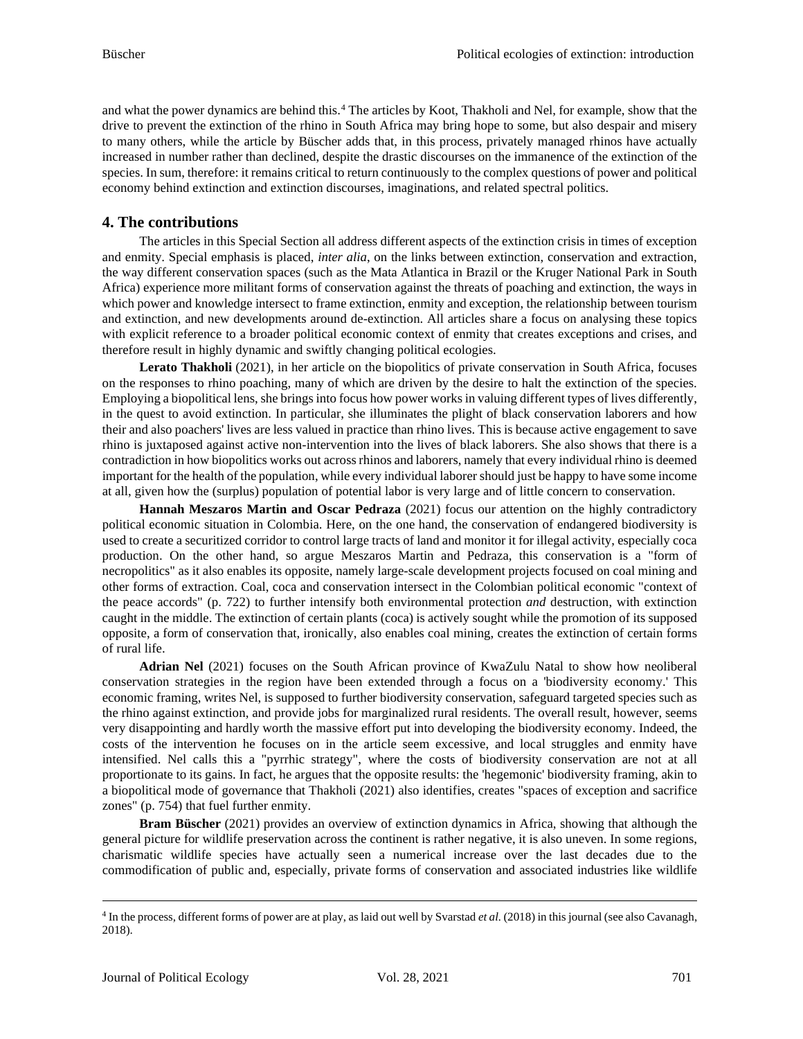and what the power dynamics are behind this.[4](#page-5-0) The articles by Koot, Thakholi and Nel, for example, show that the drive to prevent the extinction of the rhino in South Africa may bring hope to some, but also despair and misery to many others, while the article by Büscher adds that, in this process, privately managed rhinos have actually increased in number rather than declined, despite the drastic discourses on the immanence of the extinction of the species. In sum, therefore: it remains critical to return continuously to the complex questions of power and political economy behind extinction and extinction discourses, imaginations, and related spectral politics.

## **4. The contributions**

The articles in this Special Section all address different aspects of the extinction crisis in times of exception and enmity. Special emphasis is placed, *inter alia*, on the links between extinction, conservation and extraction, the way different conservation spaces (such as the Mata Atlantica in Brazil or the Kruger National Park in South Africa) experience more militant forms of conservation against the threats of poaching and extinction, the ways in which power and knowledge intersect to frame extinction, enmity and exception, the relationship between tourism and extinction, and new developments around de-extinction. All articles share a focus on analysing these topics with explicit reference to a broader political economic context of enmity that creates exceptions and crises, and therefore result in highly dynamic and swiftly changing political ecologies.

**Lerato Thakholi** (2021), in her article on the biopolitics of private conservation in South Africa, focuses on the responses to rhino poaching, many of which are driven by the desire to halt the extinction of the species. Employing a biopolitical lens, she brings into focus how power works in valuing different types of lives differently, in the quest to avoid extinction. In particular, she illuminates the plight of black conservation laborers and how their and also poachers' lives are less valued in practice than rhino lives. This is because active engagement to save rhino is juxtaposed against active non-intervention into the lives of black laborers. She also shows that there is a contradiction in how biopolitics works out across rhinos and laborers, namely that every individual rhino is deemed important for the health of the population, while every individual laborer should just be happy to have some income at all, given how the (surplus) population of potential labor is very large and of little concern to conservation.

**Hannah Meszaros Martin and Oscar Pedraza** (2021) focus our attention on the highly contradictory political economic situation in Colombia. Here, on the one hand, the conservation of endangered biodiversity is used to create a securitized corridor to control large tracts of land and monitor it for illegal activity, especially coca production. On the other hand, so argue Meszaros Martin and Pedraza, this conservation is a "form of necropolitics" as it also enables its opposite, namely large-scale development projects focused on coal mining and other forms of extraction. Coal, coca and conservation intersect in the Colombian political economic "context of the peace accords" (p. 722) to further intensify both environmental protection *and* destruction, with extinction caught in the middle. The extinction of certain plants (coca) is actively sought while the promotion of its supposed opposite, a form of conservation that, ironically, also enables coal mining, creates the extinction of certain forms of rural life.

**Adrian Nel** (2021) focuses on the South African province of KwaZulu Natal to show how neoliberal conservation strategies in the region have been extended through a focus on a 'biodiversity economy.' This economic framing, writes Nel, is supposed to further biodiversity conservation, safeguard targeted species such as the rhino against extinction, and provide jobs for marginalized rural residents. The overall result, however, seems very disappointing and hardly worth the massive effort put into developing the biodiversity economy. Indeed, the costs of the intervention he focuses on in the article seem excessive, and local struggles and enmity have intensified. Nel calls this a "pyrrhic strategy", where the costs of biodiversity conservation are not at all proportionate to its gains. In fact, he argues that the opposite results: the 'hegemonic' biodiversity framing, akin to a biopolitical mode of governance that Thakholi (2021) also identifies, creates "spaces of exception and sacrifice zones" (p. 754) that fuel further enmity.

**Bram Büscher** (2021) provides an overview of extinction dynamics in Africa, showing that although the general picture for wildlife preservation across the continent is rather negative, it is also uneven. In some regions, charismatic wildlife species have actually seen a numerical increase over the last decades due to the commodification of public and, especially, private forms of conservation and associated industries like wildlife

<span id="page-5-0"></span><sup>4</sup> In the process, different forms of power are at play, as laid out well by Svarstad *et al.* (2018) in this journal (see also Cavanagh, 2018).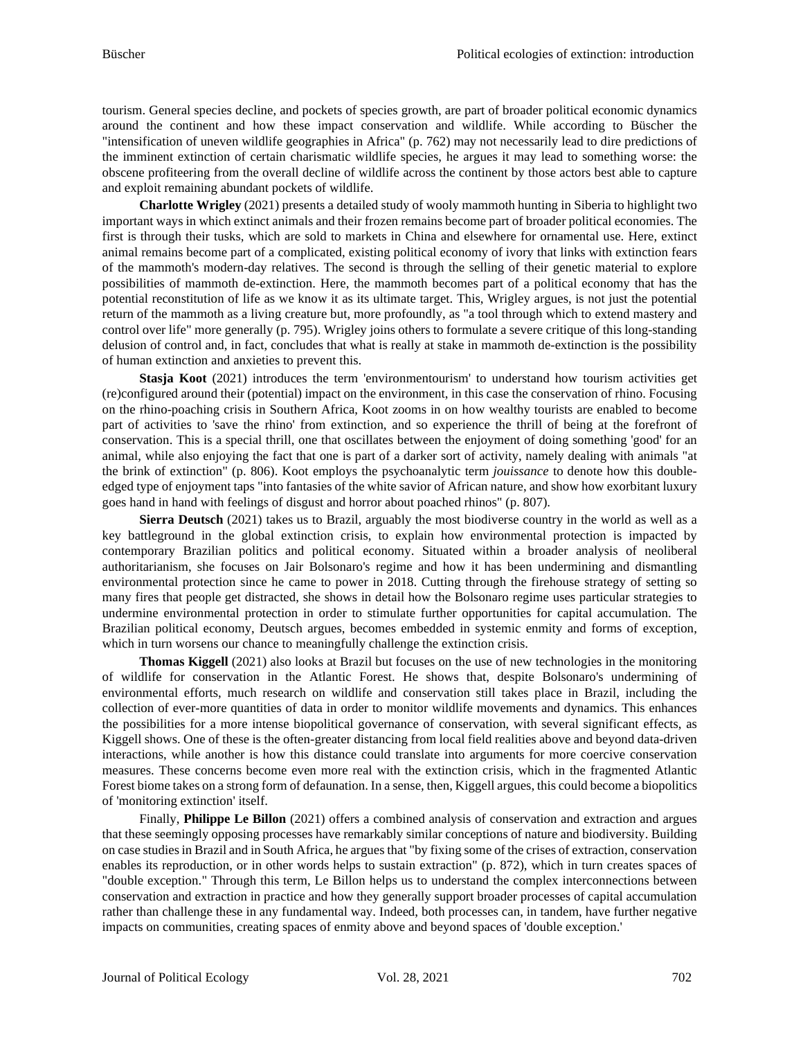tourism. General species decline, and pockets of species growth, are part of broader political economic dynamics around the continent and how these impact conservation and wildlife. While according to Büscher the "intensification of uneven wildlife geographies in Africa" (p. 762) may not necessarily lead to dire predictions of the imminent extinction of certain charismatic wildlife species, he argues it may lead to something worse: the obscene profiteering from the overall decline of wildlife across the continent by those actors best able to capture and exploit remaining abundant pockets of wildlife.

**Charlotte Wrigley** (2021) presents a detailed study of wooly mammoth hunting in Siberia to highlight two important ways in which extinct animals and their frozen remains become part of broader political economies. The first is through their tusks, which are sold to markets in China and elsewhere for ornamental use. Here, extinct animal remains become part of a complicated, existing political economy of ivory that links with extinction fears of the mammoth's modern-day relatives. The second is through the selling of their genetic material to explore possibilities of mammoth de-extinction. Here, the mammoth becomes part of a political economy that has the potential reconstitution of life as we know it as its ultimate target. This, Wrigley argues, is not just the potential return of the mammoth as a living creature but, more profoundly, as "a tool through which to extend mastery and control over life" more generally (p. 795). Wrigley joins others to formulate a severe critique of this long-standing delusion of control and, in fact, concludes that what is really at stake in mammoth de-extinction is the possibility of human extinction and anxieties to prevent this.

**Stasja Koot** (2021) introduces the term 'environmentourism' to understand how tourism activities get (re)configured around their (potential) impact on the environment, in this case the conservation of rhino. Focusing on the rhino-poaching crisis in Southern Africa, Koot zooms in on how wealthy tourists are enabled to become part of activities to 'save the rhino' from extinction, and so experience the thrill of being at the forefront of conservation. This is a special thrill, one that oscillates between the enjoyment of doing something 'good' for an animal, while also enjoying the fact that one is part of a darker sort of activity, namely dealing with animals "at the brink of extinction" (p. 806). Koot employs the psychoanalytic term *jouissance* to denote how this doubleedged type of enjoyment taps "into fantasies of the white savior of African nature, and show how exorbitant luxury goes hand in hand with feelings of disgust and horror about poached rhinos" (p. 807).

**Sierra Deutsch** (2021) takes us to Brazil, arguably the most biodiverse country in the world as well as a key battleground in the global extinction crisis, to explain how environmental protection is impacted by contemporary Brazilian politics and political economy. Situated within a broader analysis of neoliberal authoritarianism, she focuses on Jair Bolsonaro's regime and how it has been undermining and dismantling environmental protection since he came to power in 2018. Cutting through the firehouse strategy of setting so many fires that people get distracted, she shows in detail how the Bolsonaro regime uses particular strategies to undermine environmental protection in order to stimulate further opportunities for capital accumulation. The Brazilian political economy, Deutsch argues, becomes embedded in systemic enmity and forms of exception, which in turn worsens our chance to meaningfully challenge the extinction crisis.

**Thomas Kiggell** (2021) also looks at Brazil but focuses on the use of new technologies in the monitoring of wildlife for conservation in the Atlantic Forest. He shows that, despite Bolsonaro's undermining of environmental efforts, much research on wildlife and conservation still takes place in Brazil, including the collection of ever-more quantities of data in order to monitor wildlife movements and dynamics. This enhances the possibilities for a more intense biopolitical governance of conservation, with several significant effects, as Kiggell shows. One of these is the often-greater distancing from local field realities above and beyond data-driven interactions, while another is how this distance could translate into arguments for more coercive conservation measures. These concerns become even more real with the extinction crisis, which in the fragmented Atlantic Forest biome takes on a strong form of defaunation. In a sense, then, Kiggell argues, this could become a biopolitics of 'monitoring extinction' itself.

Finally, **Philippe Le Billon** (2021) offers a combined analysis of conservation and extraction and argues that these seemingly opposing processes have remarkably similar conceptions of nature and biodiversity. Building on case studies in Brazil and in South Africa, he argues that "by fixing some of the crises of extraction, conservation enables its reproduction, or in other words helps to sustain extraction" (p. 872), which in turn creates spaces of "double exception." Through this term, Le Billon helps us to understand the complex interconnections between conservation and extraction in practice and how they generally support broader processes of capital accumulation rather than challenge these in any fundamental way. Indeed, both processes can, in tandem, have further negative impacts on communities, creating spaces of enmity above and beyond spaces of 'double exception.'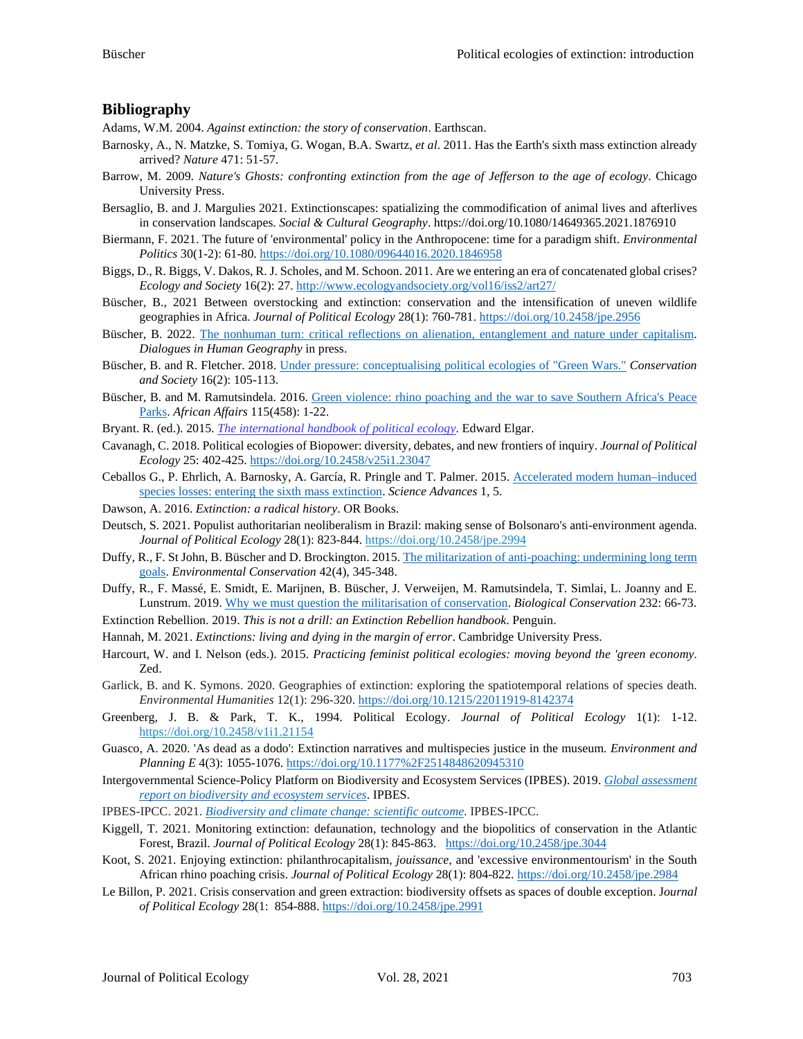#### **Bibliography**

Adams, W.M. 2004. *Against extinction: the story of conservation*. Earthscan.

- Barnosky, A., N. Matzke, S. Tomiya, G. Wogan, B.A. Swartz, *et al*. 2011. Has the Earth's sixth mass extinction already arrived? *Nature* 471: 51-57.
- Barrow, M. 2009. *Nature's Ghosts: confronting extinction from the age of Jefferson to the age of ecology*. Chicago University Press.
- Bersaglio, B. and J. Margulies 2021. Extinctionscapes: spatializing the commodification of animal lives and afterlives in conservation landscapes. *Social & Cultural Geography*. https://doi.org/10.1080/14649365.2021.1876910
- Biermann, F. 2021. The future of 'environmental' policy in the Anthropocene: time for a paradigm shift. *Environmental Politics* 30(1-2): 61-80. <https://doi.org/10.1080/09644016.2020.1846958>
- Biggs, D., R. Biggs, V. Dakos, R. J. Scholes, and M. Schoon. 2011. Are we entering an era of concatenated global crises? *Ecology and Society* 16(2): 27. <http://www.ecologyandsociety.org/vol16/iss2/art27/>
- Büscher, B., 2021 Between overstocking and extinction: conservation and the intensification of uneven wildlife geographies in Africa. *Journal of Political Ecology* 28(1): 760-781. [https://doi.org/10.2458/jpe.2956](https://eur03.safelinks.protection.outlook.com/?url=https%3A%2F%2Fdoi.org%2F10.2458%2Fjpe.2956&data=04%7C01%7Cbram.buscher%40wur.nl%7C3b5dc1cde8fa479a91f908d9df756667%7C27d137e5761f4dc1af88d26430abb18f%7C0%7C0%7C637786518932907603%7CUnknown%7CTWFpbGZsb3d8eyJWIjoiMC4wLjAwMDAiLCJQIjoiV2luMzIiLCJBTiI6Ik1haWwiLCJXVCI6Mn0%3D%7C3000&sdata=RDxuWNdsg%2BB1K0zRrPNlXcRtxSrJm0X4XWYaATS8EwA%3D&reserved=0)
- Büscher, B. 2022. [The nonhuman turn: critical reflections on alienation, entanglement and nature under capitalism.](https://brambuscher.files.wordpress.com/2021/06/bucc88scher-nonhuman-turn-final-2021.pdf) *Dialogues in Human Geography* in press.
- Büscher, B. and R. Fletcher. 2018. [Under pressure: conceptualising political ecologies of "Green Wars."](https://www.conservationandsociety.org.in/article.asp?issn=0972-4923;year=2018;volume=16;issue=2;spage=105;epage=113;aulast=Buscher) *Conservation and Society* 16(2): 105-113.
- Büscher, B. and M. Ramutsindela. 2016[. Green violence: rhino poaching and the war to save Southern Africa's Peace](https://brambuscher.files.wordpress.com/2011/01/bucc88scherramutsindela-green-violence-afaf2016.pdf)  [Parks.](https://brambuscher.files.wordpress.com/2011/01/bucc88scherramutsindela-green-violence-afaf2016.pdf) *African Affairs* 115(458): 1-22.
- Bryant. R. (ed.). 2015. *[The international handbook of political ecology](https://we.riseup.net/assets/317006/Raymond+L.+Bryant+%252528ed.%252529-The+International+Handbook+of+Political+Ecology-Edward+Elgar+%2525282015%252529.pdf)*. Edward Elgar.
- Cavanagh, C. 2018. Political ecologies of Biopower: diversity, debates, and new frontiers of inquiry. *Journal of Political Ecology* 25: 402-425. <https://doi.org/10.2458/v25i1.23047>
- Ceballos G., P. Ehrlich, A. Barnosky, A. García, R. Pringle and T. Palmer. 2015. [Accelerated modern human–induced](http://doi.org/10.1126/sciadv.1400253)  [species losses: entering the sixth mass extinction.](http://doi.org/10.1126/sciadv.1400253) *Science Advances* 1, 5.
- Dawson, A. 2016. *Extinction: a radical history*. OR Books.
- Deutsch, S. 2021. Populist authoritarian neoliberalism in Brazil: making sense of Bolsonaro's anti-environment agenda. *Journal of Political Ecology* 28(1): 823-844. [https://doi.org/10.2458/jpe.2994](https://eur03.safelinks.protection.outlook.com/?url=https%3A%2F%2Fdoi.org%2F10.2458%2Fjpe.2994&data=04%7C01%7Cbram.buscher%40wur.nl%7C3b5dc1cde8fa479a91f908d9df756667%7C27d137e5761f4dc1af88d26430abb18f%7C0%7C0%7C637786518932907603%7CUnknown%7CTWFpbGZsb3d8eyJWIjoiMC4wLjAwMDAiLCJQIjoiV2luMzIiLCJBTiI6Ik1haWwiLCJXVCI6Mn0%3D%7C3000&sdata=kEHfpyEgjrIwvXdAj8EntR9gwhcaLeQ6xt6OxGHx%2BDA%3D&reserved=0)
- Duffy, R., F. St John, B. Büscher and D. Brockington. 2015[. The militarization of anti-poaching: undermining long term](https://brambuscher.files.wordpress.com/2011/01/duffy-et-al-militarization-of-conservation-ec-2015.pdf)  [goals.](https://brambuscher.files.wordpress.com/2011/01/duffy-et-al-militarization-of-conservation-ec-2015.pdf) *Environmental Conservation* 42(4), 345-348.
- Duffy, R., F. Massé, E. Smidt, E. Marijnen, B. Büscher, J. Verweijen, M. Ramutsindela, T. Simlai, L. Joanny and E. Lunstrum. 2019. [Why we must question the militarisation of conservation.](https://doi.org/10.1016/j.biocon.2019.01.013) *Biological Conservation* 232: 66-73.
- Extinction Rebellion. 2019. *This is not a drill: an Extinction Rebellion handbook*. Penguin.
- Hannah, M. 2021. *Extinctions: living and dying in the margin of error*. Cambridge University Press.
- Harcourt, W. and I. Nelson (eds.). 2015. *Practicing feminist political ecologies: moving beyond the 'green economy*. Zed.
- Garlick, B. and K. Symons. 2020. Geographies of extinction: exploring the spatiotemporal relations of species death. *Environmental Humanities* 12(1): 296-320. <https://doi.org/10.1215/22011919-8142374>
- Greenberg, J. B. & Park, T. K., 1994. Political Ecology. *Journal of Political Ecology* 1(1): 1-12. <https://doi.org/10.2458/v1i1.21154>
- Guasco, A. 2020. 'As dead as a dodo': Extinction narratives and multispecies justice in the museum. *Environment and Planning E* 4(3): 1055-1076. <https://doi.org/10.1177%2F2514848620945310>
- Intergovernmental Science-Policy Platform on Biodiversity and Ecosystem Services (IPBES). 2019. *[Global assessment](https://www.ipbes.net/global-assessment)  [report on biodiversity and ecosystem services](https://www.ipbes.net/global-assessment)*. IPBES.
- IPBES-IPCC. 2021. *[Biodiversity and climate change: scientific outcome](https://ipbes.net/sites/default/files/2021-06/2021_IPCC-IPBES_scientific_outcome_20210612.pdf)*. IPBES-IPCC.
- Kiggell, T. 2021. Monitoring extinction: defaunation, technology and the biopolitics of conservation in the Atlantic Forest, Brazil. *Journal of Political Ecology* 28(1): 845-863. [https://doi.org/10.2458/jpe.3044](https://eur03.safelinks.protection.outlook.com/?url=https%3A%2F%2Fdoi.org%2F10.2458%2Fjpe.3044&data=04%7C01%7Cbram.buscher%40wur.nl%7C3b5dc1cde8fa479a91f908d9df756667%7C27d137e5761f4dc1af88d26430abb18f%7C0%7C0%7C637786518932907603%7CUnknown%7CTWFpbGZsb3d8eyJWIjoiMC4wLjAwMDAiLCJQIjoiV2luMzIiLCJBTiI6Ik1haWwiLCJXVCI6Mn0%3D%7C3000&sdata=4sfnNZpFNrlpfoMQ%2FAj4%2FQmctGdgP2AjoYTg%2B84%2F%2BAM%3D&reserved=0)
- Koot, S. 2021. Enjoying extinction: philanthrocapitalism, *jouissance*, and 'excessive environmentourism' in the South African rhino poaching crisis. *Journal of Political Ecology* 28(1): 804-822. [https://doi.org/10.2458/jpe.2984](https://eur03.safelinks.protection.outlook.com/?url=https%3A%2F%2Fdoi.org%2F10.2458%2Fjpe.2984&data=04%7C01%7Cbram.buscher%40wur.nl%7C3b5dc1cde8fa479a91f908d9df756667%7C27d137e5761f4dc1af88d26430abb18f%7C0%7C0%7C637786518932907603%7CUnknown%7CTWFpbGZsb3d8eyJWIjoiMC4wLjAwMDAiLCJQIjoiV2luMzIiLCJBTiI6Ik1haWwiLCJXVCI6Mn0%3D%7C3000&sdata=07wNWaDHF0Gn5d%2BQXG58HBVRtQ%2FYFwXJZ9FI%2Bmg4eNw%3D&reserved=0)
- Le Billon, P. 2021. Crisis conservation and green extraction: biodiversity offsets as spaces of double exception. J*ournal of Political Ecology* 28(1: 854-888. [https://doi.org/10.2458/jpe.2991](https://eur03.safelinks.protection.outlook.com/?url=https%3A%2F%2Fdoi.org%2F10.2458%2Fjpe.2991&data=04%7C01%7Cbram.buscher%40wur.nl%7C3b5dc1cde8fa479a91f908d9df756667%7C27d137e5761f4dc1af88d26430abb18f%7C0%7C0%7C637786518932907603%7CUnknown%7CTWFpbGZsb3d8eyJWIjoiMC4wLjAwMDAiLCJQIjoiV2luMzIiLCJBTiI6Ik1haWwiLCJXVCI6Mn0%3D%7C3000&sdata=alEBUtU%2B8zBAT9SQIXSrvnpTPIHmQNzn1wM1BmzByL4%3D&reserved=0)